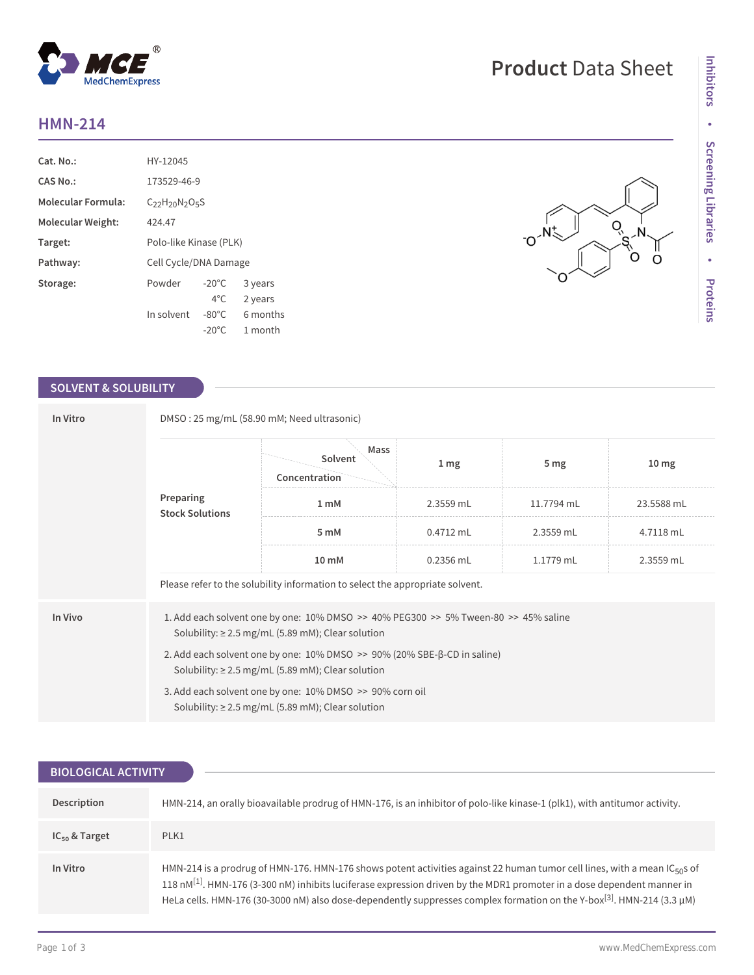## **HMN-214**

| Cat. No.                  | HY-12045                  |                 |          |
|---------------------------|---------------------------|-----------------|----------|
| CAS No.:                  | 173529-46-9               |                 |          |
| <b>Molecular Formula:</b> | $C_{22}H_{20}N_{2}O_{5}S$ |                 |          |
| Molecular Weight:         | 424.47                    |                 |          |
| Target:                   | Polo-like Kinase (PLK)    |                 |          |
| Pathway:                  | Cell Cycle/DNA Damage     |                 |          |
| Storage:                  | Powder                    | $-20^{\circ}$ C | 3 years  |
|                           |                           | $4^{\circ}$ C   | 2 years  |
|                           | In solvent                | $-80^{\circ}$ C | 6 months |
|                           |                           | $-20^{\circ}$ C | 1 month  |

 $^{\circledR}$ 

MedChemExpress

### **SOLVENT & SOLUBILITY**

| In Vitro | DMSO: 25 mg/mL (58.90 mM; Need ultrasonic)                                                                                                          |                                                                                                                    |                 |                 |                  |  |  |
|----------|-----------------------------------------------------------------------------------------------------------------------------------------------------|--------------------------------------------------------------------------------------------------------------------|-----------------|-----------------|------------------|--|--|
|          | Preparing<br><b>Stock Solutions</b>                                                                                                                 | Mass<br>Solvent<br>Concentration                                                                                   | 1 <sub>mg</sub> | 5 <sub>mg</sub> | 10 <sub>mg</sub> |  |  |
|          |                                                                                                                                                     | 1 <sub>mM</sub>                                                                                                    | 2.3559 mL       | 11.7794 mL      | 23.5588 mL       |  |  |
|          |                                                                                                                                                     | 5 mM                                                                                                               | $0.4712$ mL     | 2.3559 mL       | 4.7118 mL        |  |  |
|          |                                                                                                                                                     | 10 mM                                                                                                              | $0.2356$ mL     | 1.1779 mL       | 2.3559 mL        |  |  |
|          |                                                                                                                                                     | Please refer to the solubility information to select the appropriate solvent.                                      |                 |                 |                  |  |  |
| In Vivo  | 1. Add each solvent one by one: $10\%$ DMSO >> $40\%$ PEG300 >> 5% Tween-80 >> 45% saline<br>Solubility: $\geq$ 2.5 mg/mL (5.89 mM); Clear solution |                                                                                                                    |                 |                 |                  |  |  |
|          | 2. Add each solvent one by one: $10\%$ DMSO $\geq$ 90% (20% SBE- $\beta$ -CD in saline)<br>Solubility: $\geq 2.5$ mg/mL (5.89 mM); Clear solution   |                                                                                                                    |                 |                 |                  |  |  |
|          |                                                                                                                                                     | 3. Add each solvent one by one: 10% DMSO >> 90% corn oil<br>Solubility: $\geq$ 2.5 mg/mL (5.89 mM); Clear solution |                 |                 |                  |  |  |

| <b>BIOLOGICAL ACTIVITY</b> |                                                                                                                                                                                                                                                                                                                                                                                                              |
|----------------------------|--------------------------------------------------------------------------------------------------------------------------------------------------------------------------------------------------------------------------------------------------------------------------------------------------------------------------------------------------------------------------------------------------------------|
|                            |                                                                                                                                                                                                                                                                                                                                                                                                              |
| Description                | HMN-214, an orally bioavailable prodrug of HMN-176, is an inhibitor of polo-like kinase-1 (plk1), with antitumor activity.                                                                                                                                                                                                                                                                                   |
| $IC_{50}$ & Target         | PLK1                                                                                                                                                                                                                                                                                                                                                                                                         |
| In Vitro                   | HMN-214 is a prodrug of HMN-176. HMN-176 shows potent activities against 22 human tumor cell lines, with a mean IC <sub>50</sub> s of<br>118 nM $^{[1]}$ . HMN-176 (3-300 nM) inhibits luciferase expression driven by the MDR1 promoter in a dose dependent manner in<br>HeLa cells. HMN-176 (30-3000 nM) also dose-dependently suppresses complex formation on the Y-box <sup>[3]</sup> . HMN-214 (3.3 µM) |

# **Product** Data Sheet

Ō

O<br>
SS-N<br>
O<br>
O<br>
O<br>
O<br>
O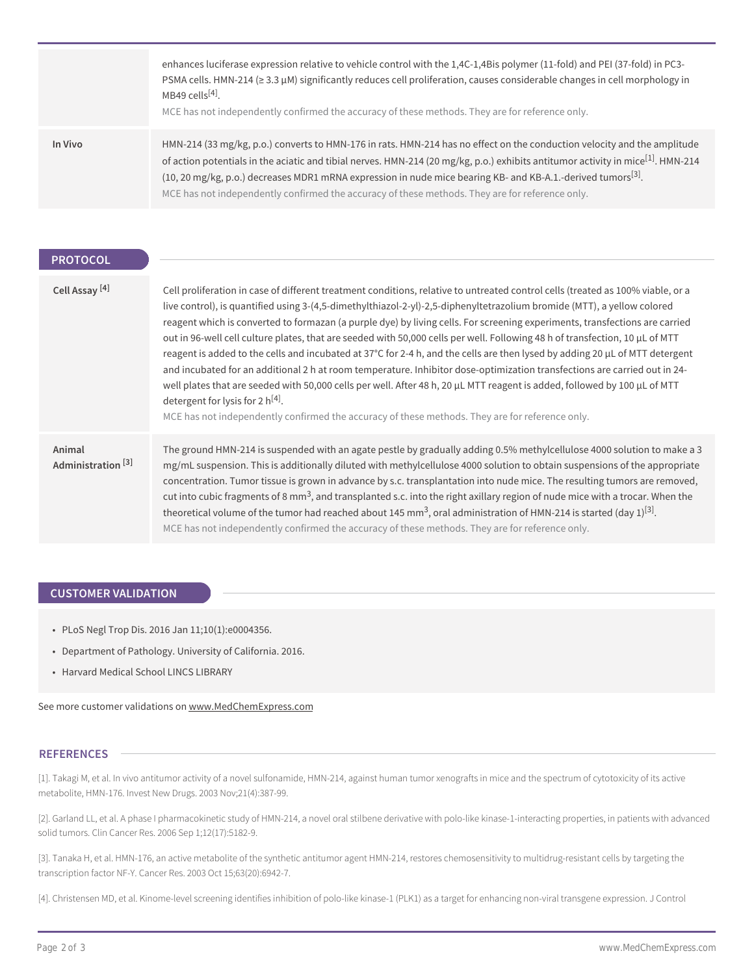|         | enhances luciferase expression relative to vehicle control with the 1,4C-1,4Bis polymer (11-fold) and PEI (37-fold) in PC3-<br>PSMA cells. HMN-214 ( $\geq$ 3.3 $\mu$ M) significantly reduces cell proliferation, causes considerable changes in cell morphology in<br>MB49 cells $[4]$ .<br>MCE has not independently confirmed the accuracy of these methods. They are for reference only.                                                                                                           |
|---------|---------------------------------------------------------------------------------------------------------------------------------------------------------------------------------------------------------------------------------------------------------------------------------------------------------------------------------------------------------------------------------------------------------------------------------------------------------------------------------------------------------|
| In Vivo | HMN-214 (33 mg/kg, p.o.) converts to HMN-176 in rats. HMN-214 has no effect on the conduction velocity and the amplitude<br>of action potentials in the aciatic and tibial nerves. HMN-214 (20 mg/kg, p.o.) exhibits antitumor activity in mice <sup>[1]</sup> . HMN-214<br>(10, 20 mg/kg, p.o.) decreases MDR1 mRNA expression in nude mice bearing KB- and KB-A.1.-derived tumors <sup>[3]</sup> .<br>MCE has not independently confirmed the accuracy of these methods. They are for reference only. |

#### **PROTOCOL**

| Cell Assay <sup>[4]</sup>               | Cell proliferation in case of different treatment conditions, relative to untreated control cells (treated as 100% viable, or a<br>live control), is quantified using 3-(4,5-dimethylthiazol-2-yl)-2,5-diphenyltetrazolium bromide (MTT), a yellow colored<br>reagent which is converted to formazan (a purple dye) by living cells. For screening experiments, transfections are carried<br>out in 96-well cell culture plates, that are seeded with 50,000 cells per well. Following 48 h of transfection, 10 µL of MTT<br>reagent is added to the cells and incubated at 37°C for 2-4 h, and the cells are then lysed by adding 20 µL of MTT detergent<br>and incubated for an additional 2 h at room temperature. Inhibitor dose-optimization transfections are carried out in 24-<br>well plates that are seeded with 50,000 cells per well. After 48 h, 20 µL MTT reagent is added, followed by 100 µL of MTT<br>detergent for lysis for 2 $h^{[4]}$ .<br>MCE has not independently confirmed the accuracy of these methods. They are for reference only. |
|-----------------------------------------|-----------------------------------------------------------------------------------------------------------------------------------------------------------------------------------------------------------------------------------------------------------------------------------------------------------------------------------------------------------------------------------------------------------------------------------------------------------------------------------------------------------------------------------------------------------------------------------------------------------------------------------------------------------------------------------------------------------------------------------------------------------------------------------------------------------------------------------------------------------------------------------------------------------------------------------------------------------------------------------------------------------------------------------------------------------------|
| Animal<br>Administration <sup>[3]</sup> | The ground HMN-214 is suspended with an agate pestle by gradually adding 0.5% methylcellulose 4000 solution to make a 3<br>mg/mL suspension. This is additionally diluted with methylcellulose 4000 solution to obtain suspensions of the appropriate<br>concentration. Tumor tissue is grown in advance by s.c. transplantation into nude mice. The resulting tumors are removed,<br>cut into cubic fragments of 8 mm <sup>3</sup> , and transplanted s.c. into the right axillary region of nude mice with a trocar. When the<br>theoretical volume of the tumor had reached about 145 mm <sup>3</sup> , oral administration of HMN-214 is started (day 1) <sup>[3]</sup> .<br>MCE has not independently confirmed the accuracy of these methods. They are for reference only.                                                                                                                                                                                                                                                                                |

#### **CUSTOMER VALIDATION**

- PLoS Negl Trop Dis. 2016 Jan 11;10(1):e0004356.
- Department of Pathology. University of California. 2016.
- Harvard Medical School LINCS LIBRARY

See more customer validations on<www.MedChemExpress.com>

#### **REFERENCES**

[1]. Takagi M, et al. In vivo antitumor activity of a novel sulfonamide, HMN-214, against human tumor xenografts in mice and the spectrum of cytotoxicity of its active metabolite, HMN-176. Invest New Drugs. 2003 Nov;21(4):387-99.

[2]. Garland LL, et al. A phase I pharmacokinetic study of HMN-214, a novel oral stilbene derivative with polo-like kinase-1-interacting properties, in patients with advanced solid tumors. Clin Cancer Res. 2006 Sep 1;12(17):5182-9.

[3]. Tanaka H, et al. HMN-176, an active metabolite of the synthetic antitumor agent HMN-214, restores chemosensitivity to multidrug-resistant cells by targeting the transcription factor NF-Y. Cancer Res. 2003 Oct 15;63(20):6942-7.

[4]. Christensen MD, et al. Kinome-level screening identifies inhibition of polo-like kinase-1 (PLK1) as a target for enhancing non-viral transgene expression. J Control